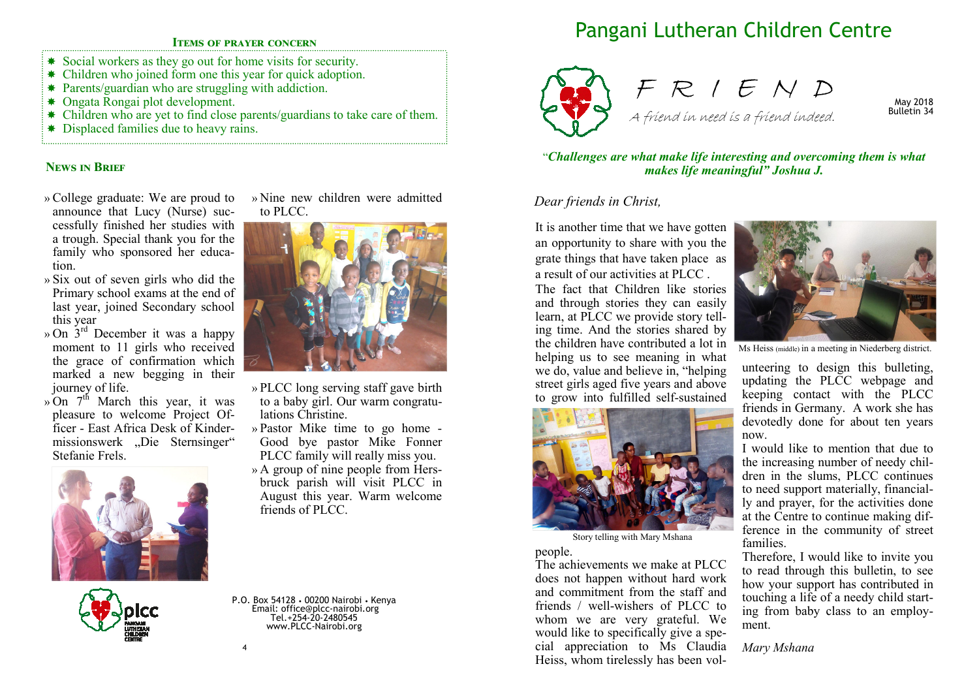## **ITEMS OF PRAYER CONCERN**

- \* Social workers as they go out for home visits for security.
- Children who joined form one this year for quick adoption.
- \* Parents/guardian who are struggling with addiction.
- Ongata Rongai plot development.
- Children who are yet to find close parents/guardians to take care of them.
- \* Displaced families due to heavy rains.

## **NEWS IN BRIEF**

- » College graduate: We are proud to announce that Lucy (Nurse) successfully finished her studies with a trough. Special thank you for the family who sponsored her education.
- » Six out of seven girls who did the Primary school exams at the end of last year, joined Secondary school this year
- » On 3rd December it was a happy moment to 11 girls who received the grace of confirmation which marked a new begging in their journey of life.
- » On  $7<sup>th</sup>$  March this year, it was pleasure to welcome Project Officer - East Africa Desk of Kindermissionswerk "Die Sternsinger" Stefanie Frels.





» Nine new children were admitted to PLCC.



- » PLCC long serving staff gave birth to a baby girl. Our warm congratulations Christine.
- » Pastor Mike time to go home Good bye pastor Mike Fonner PLCC family will really miss you.
- » A group of nine people from Hersbruck parish will visit PLCC in August this year. Warm welcome friends of PLCC.

P.O. Box 54128 • 00200 Nairobi • Kenya Email: office@plcc-nairobi.org Tel.+254-20-2480545 www.PLCC-Nairobi.org

# Pangani Lutheran Children Centre



F R I E N D A friend in need is a friend indeed.

May 2018 Bulletin 34

#### "*Challenges are what make life interesting and overcoming them is what makes life meaningful" Joshua J.*

## *Dear friends in Christ,*

It is another time that we have gotten an opportunity to share with you the grate things that have taken place as a result of our activities at PLCC .

The fact that Children like stories and through stories they can easily learn, at PLCC we provide story telling time. And the stories shared by the children have contributed a lot in helping us to see meaning in what we do, value and believe in, "helping street girls aged five years and above to grow into fulfilled self-sustained



Story telling with Mary Mshana

#### people.

The achievements we make at PLCC does not happen without hard work and commitment from the staff and friends / well-wishers of PLCC to whom we are very grateful. We would like to specifically give a special appreciation to Ms Claudia Heiss, whom tirelessly has been vol-



Ms Heiss (middle) in a meeting in Niederberg district.

unteering to design this bulleting, updating the PLCC webpage and keeping contact with the PLCC friends in Germany. A work she has devotedly done for about ten years now.

I would like to mention that due to the increasing number of needy children in the slums, PLCC continues to need support materially, financially and prayer, for the activities done at the Centre to continue making difference in the community of street families.

Therefore, I would like to invite you to read through this bulletin, to see how your support has contributed in touching a life of a needy child starting from baby class to an employment.

*Mary Mshana* 

4